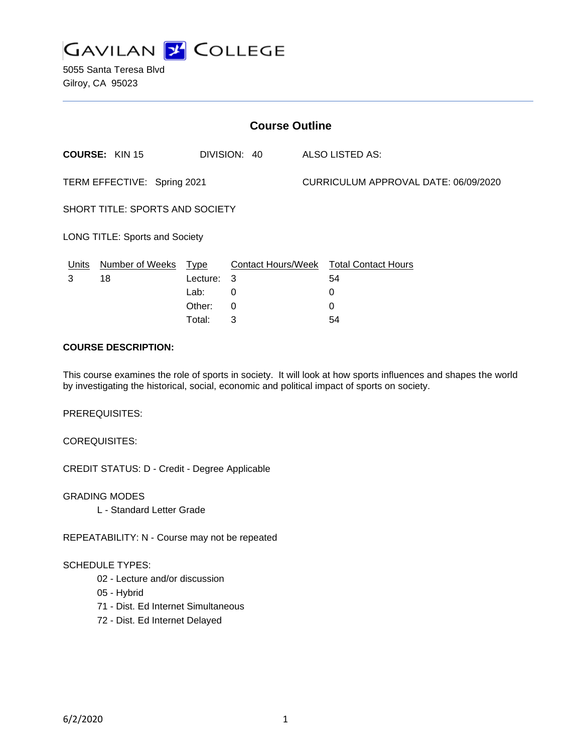

5055 Santa Teresa Blvd Gilroy, CA 95023

| <b>Course Outline</b>           |                       |          |              |  |                                        |  |
|---------------------------------|-----------------------|----------|--------------|--|----------------------------------------|--|
|                                 | <b>COURSE: KIN 15</b> |          | DIVISION: 40 |  | ALSO LISTED AS:                        |  |
| TERM EFFECTIVE: Spring 2021     |                       |          |              |  | CURRICULUM APPROVAL DATE: 06/09/2020   |  |
| SHORT TITLE: SPORTS AND SOCIETY |                       |          |              |  |                                        |  |
| LONG TITLE: Sports and Society  |                       |          |              |  |                                        |  |
| Units                           | Number of Weeks Type  |          |              |  | Contact Hours/Week Total Contact Hours |  |
| 3                               | 18                    | Lecture: | - 3          |  | 54                                     |  |
|                                 |                       | Lab:     | 0            |  | 0                                      |  |
|                                 |                       | Other:   | $\Omega$     |  | $\Omega$                               |  |
|                                 |                       | Total:   | 3            |  | 54                                     |  |

#### **COURSE DESCRIPTION:**

This course examines the role of sports in society. It will look at how sports influences and shapes the world by investigating the historical, social, economic and political impact of sports on society.

PREREQUISITES:

COREQUISITES:

CREDIT STATUS: D - Credit - Degree Applicable

GRADING MODES L - Standard Letter Grade

REPEATABILITY: N - Course may not be repeated

### SCHEDULE TYPES:

- 02 Lecture and/or discussion
- 05 Hybrid
- 71 Dist. Ed Internet Simultaneous
- 72 Dist. Ed Internet Delayed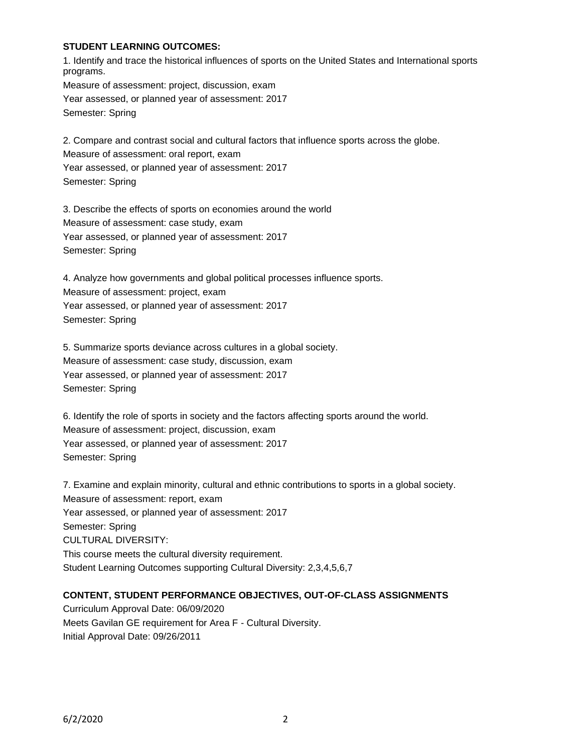### **STUDENT LEARNING OUTCOMES:**

1. Identify and trace the historical influences of sports on the United States and International sports programs. Measure of assessment: project, discussion, exam Year assessed, or planned year of assessment: 2017

Semester: Spring

2. Compare and contrast social and cultural factors that influence sports across the globe.

Measure of assessment: oral report, exam

Year assessed, or planned year of assessment: 2017

Semester: Spring

3. Describe the effects of sports on economies around the world Measure of assessment: case study, exam Year assessed, or planned year of assessment: 2017 Semester: Spring

4. Analyze how governments and global political processes influence sports. Measure of assessment: project, exam Year assessed, or planned year of assessment: 2017 Semester: Spring

5. Summarize sports deviance across cultures in a global society. Measure of assessment: case study, discussion, exam Year assessed, or planned year of assessment: 2017 Semester: Spring

6. Identify the role of sports in society and the factors affecting sports around the world. Measure of assessment: project, discussion, exam Year assessed, or planned year of assessment: 2017 Semester: Spring

7. Examine and explain minority, cultural and ethnic contributions to sports in a global society. Measure of assessment: report, exam Year assessed, or planned year of assessment: 2017 Semester: Spring CULTURAL DIVERSITY: This course meets the cultural diversity requirement. Student Learning Outcomes supporting Cultural Diversity: 2,3,4,5,6,7

## **CONTENT, STUDENT PERFORMANCE OBJECTIVES, OUT-OF-CLASS ASSIGNMENTS**

Curriculum Approval Date: 06/09/2020 Meets Gavilan GE requirement for Area F - Cultural Diversity. Initial Approval Date: 09/26/2011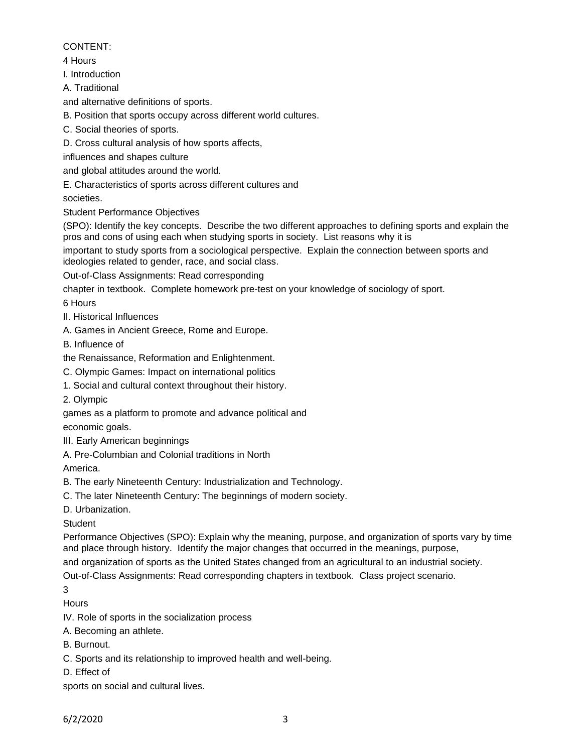# CONTENT:

4 Hours

I. Introduction

A. Traditional

and alternative definitions of sports.

B. Position that sports occupy across different world cultures.

C. Social theories of sports.

D. Cross cultural analysis of how sports affects,

influences and shapes culture

and global attitudes around the world.

E. Characteristics of sports across different cultures and

societies.

Student Performance Objectives

(SPO): Identify the key concepts. Describe the two different approaches to defining sports and explain the pros and cons of using each when studying sports in society. List reasons why it is

important to study sports from a sociological perspective. Explain the connection between sports and ideologies related to gender, race, and social class.

Out-of-Class Assignments: Read corresponding

chapter in textbook. Complete homework pre-test on your knowledge of sociology of sport.

6 Hours

II. Historical Influences

A. Games in Ancient Greece, Rome and Europe.

B. Influence of

the Renaissance, Reformation and Enlightenment.

C. Olympic Games: Impact on international politics

- 1. Social and cultural context throughout their history.
- 2. Olympic

games as a platform to promote and advance political and

economic goals.

III. Early American beginnings

A. Pre-Columbian and Colonial traditions in North

America.

B. The early Nineteenth Century: Industrialization and Technology.

C. The later Nineteenth Century: The beginnings of modern society.

D. Urbanization.

**Student** 

Performance Objectives (SPO): Explain why the meaning, purpose, and organization of sports vary by time and place through history. Identify the major changes that occurred in the meanings, purpose,

and organization of sports as the United States changed from an agricultural to an industrial society.

Out-of-Class Assignments: Read corresponding chapters in textbook. Class project scenario.

3

**Hours** 

IV. Role of sports in the socialization process

A. Becoming an athlete.

B. Burnout.

C. Sports and its relationship to improved health and well-being.

D. Effect of

sports on social and cultural lives.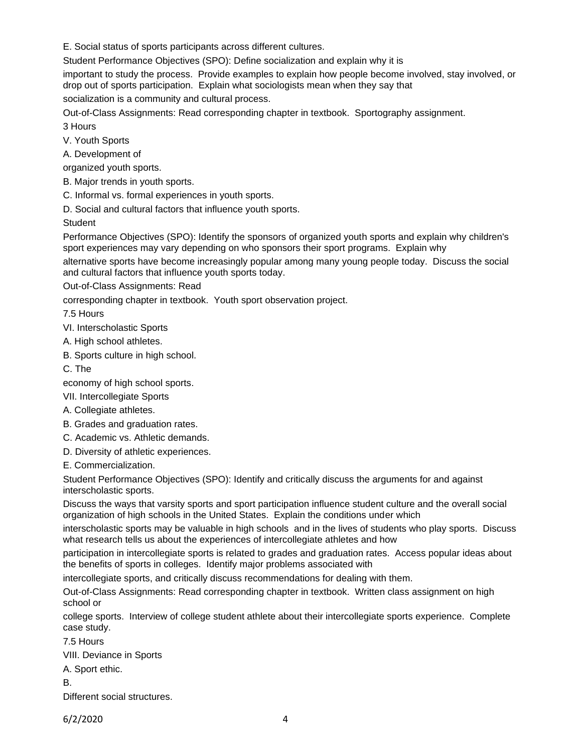E. Social status of sports participants across different cultures.

Student Performance Objectives (SPO): Define socialization and explain why it is

important to study the process. Provide examples to explain how people become involved, stay involved, or drop out of sports participation. Explain what sociologists mean when they say that

socialization is a community and cultural process.

Out-of-Class Assignments: Read corresponding chapter in textbook. Sportography assignment. 3 Hours

V. Youth Sports

A. Development of

organized youth sports.

B. Major trends in youth sports.

C. Informal vs. formal experiences in youth sports.

D. Social and cultural factors that influence youth sports.

**Student** 

Performance Objectives (SPO): Identify the sponsors of organized youth sports and explain why children's sport experiences may vary depending on who sponsors their sport programs. Explain why

alternative sports have become increasingly popular among many young people today. Discuss the social and cultural factors that influence youth sports today.

Out-of-Class Assignments: Read

corresponding chapter in textbook. Youth sport observation project.

7.5 Hours

VI. Interscholastic Sports

A. High school athletes.

B. Sports culture in high school.

C. The

economy of high school sports.

VII. Intercollegiate Sports

A. Collegiate athletes.

B. Grades and graduation rates.

C. Academic vs. Athletic demands.

D. Diversity of athletic experiences.

E. Commercialization.

Student Performance Objectives (SPO): Identify and critically discuss the arguments for and against interscholastic sports.

Discuss the ways that varsity sports and sport participation influence student culture and the overall social organization of high schools in the United States. Explain the conditions under which

interscholastic sports may be valuable in high schools and in the lives of students who play sports. Discuss what research tells us about the experiences of intercollegiate athletes and how

participation in intercollegiate sports is related to grades and graduation rates. Access popular ideas about the benefits of sports in colleges. Identify major problems associated with

intercollegiate sports, and critically discuss recommendations for dealing with them.

Out-of-Class Assignments: Read corresponding chapter in textbook. Written class assignment on high school or

college sports. Interview of college student athlete about their intercollegiate sports experience. Complete case study.

7.5 Hours

VIII. Deviance in Sports

A. Sport ethic.

B.

Different social structures.

6/2/2020 4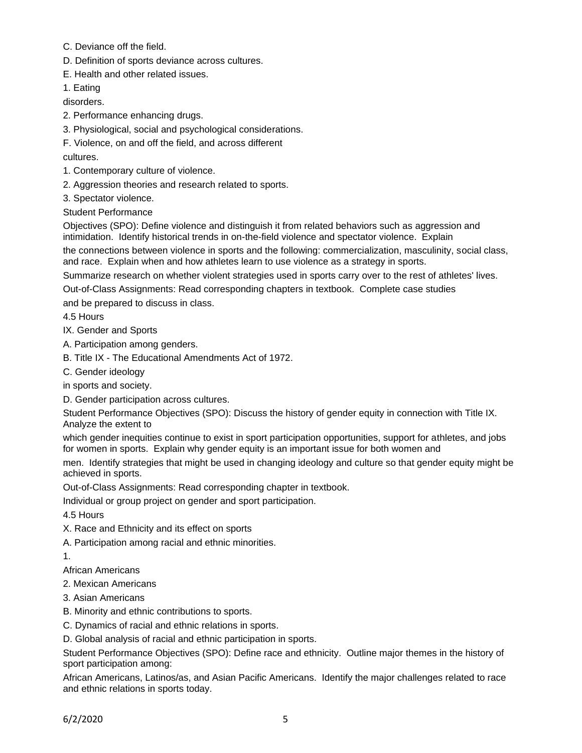- C. Deviance off the field.
- D. Definition of sports deviance across cultures.
- E. Health and other related issues.

1. Eating

disorders.

- 2. Performance enhancing drugs.
- 3. Physiological, social and psychological considerations.

F. Violence, on and off the field, and across different

cultures.

- 1. Contemporary culture of violence.
- 2. Aggression theories and research related to sports.
- 3. Spectator violence.

Student Performance

Objectives (SPO): Define violence and distinguish it from related behaviors such as aggression and intimidation. Identify historical trends in on-the-field violence and spectator violence. Explain

the connections between violence in sports and the following: commercialization, masculinity, social class, and race. Explain when and how athletes learn to use violence as a strategy in sports.

Summarize research on whether violent strategies used in sports carry over to the rest of athletes' lives.

Out-of-Class Assignments: Read corresponding chapters in textbook. Complete case studies

and be prepared to discuss in class.

4.5 Hours

IX. Gender and Sports

A. Participation among genders.

B. Title IX - The Educational Amendments Act of 1972.

C. Gender ideology

in sports and society.

D. Gender participation across cultures.

Student Performance Objectives (SPO): Discuss the history of gender equity in connection with Title IX. Analyze the extent to

which gender inequities continue to exist in sport participation opportunities, support for athletes, and jobs for women in sports. Explain why gender equity is an important issue for both women and

men. Identify strategies that might be used in changing ideology and culture so that gender equity might be achieved in sports.

Out-of-Class Assignments: Read corresponding chapter in textbook.

Individual or group project on gender and sport participation.

4.5 Hours

- X. Race and Ethnicity and its effect on sports
- A. Participation among racial and ethnic minorities.

1.

African Americans

2. Mexican Americans

- 3. Asian Americans
- B. Minority and ethnic contributions to sports.
- C. Dynamics of racial and ethnic relations in sports.
- D. Global analysis of racial and ethnic participation in sports.

Student Performance Objectives (SPO): Define race and ethnicity. Outline major themes in the history of sport participation among:

African Americans, Latinos/as, and Asian Pacific Americans. Identify the major challenges related to race and ethnic relations in sports today.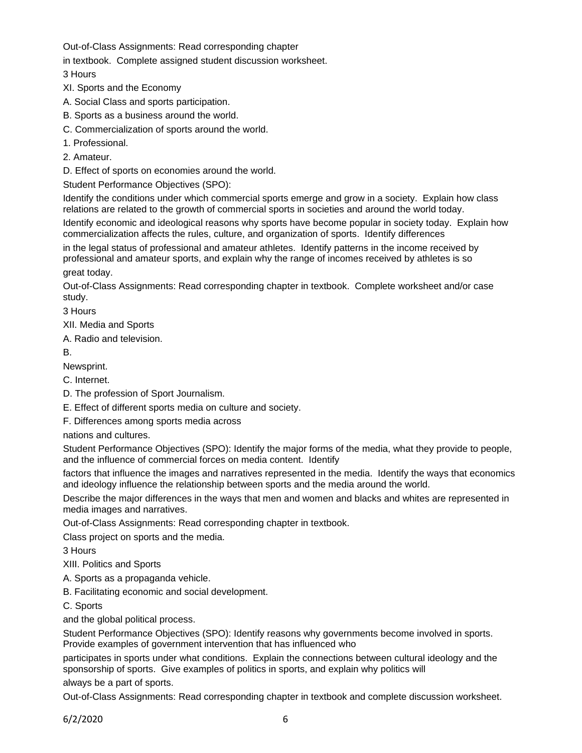Out-of-Class Assignments: Read corresponding chapter

in textbook. Complete assigned student discussion worksheet.

3 Hours

- XI. Sports and the Economy
- A. Social Class and sports participation.
- B. Sports as a business around the world.
- C. Commercialization of sports around the world.
- 1. Professional.
- 2. Amateur.

D. Effect of sports on economies around the world.

Student Performance Objectives (SPO):

Identify the conditions under which commercial sports emerge and grow in a society. Explain how class relations are related to the growth of commercial sports in societies and around the world today.

Identify economic and ideological reasons why sports have become popular in society today. Explain how commercialization affects the rules, culture, and organization of sports. Identify differences

in the legal status of professional and amateur athletes. Identify patterns in the income received by professional and amateur sports, and explain why the range of incomes received by athletes is so

great today.

Out-of-Class Assignments: Read corresponding chapter in textbook. Complete worksheet and/or case study.

3 Hours

XII. Media and Sports

A. Radio and television.

B.

Newsprint.

C. Internet.

- D. The profession of Sport Journalism.
- E. Effect of different sports media on culture and society.

F. Differences among sports media across

nations and cultures.

Student Performance Objectives (SPO): Identify the major forms of the media, what they provide to people, and the influence of commercial forces on media content. Identify

factors that influence the images and narratives represented in the media. Identify the ways that economics and ideology influence the relationship between sports and the media around the world.

Describe the major differences in the ways that men and women and blacks and whites are represented in media images and narratives.

Out-of-Class Assignments: Read corresponding chapter in textbook.

Class project on sports and the media.

3 Hours

XIII. Politics and Sports

A. Sports as a propaganda vehicle.

B. Facilitating economic and social development.

C. Sports

and the global political process.

Student Performance Objectives (SPO): Identify reasons why governments become involved in sports. Provide examples of government intervention that has influenced who

participates in sports under what conditions. Explain the connections between cultural ideology and the sponsorship of sports. Give examples of politics in sports, and explain why politics will

always be a part of sports.

Out-of-Class Assignments: Read corresponding chapter in textbook and complete discussion worksheet.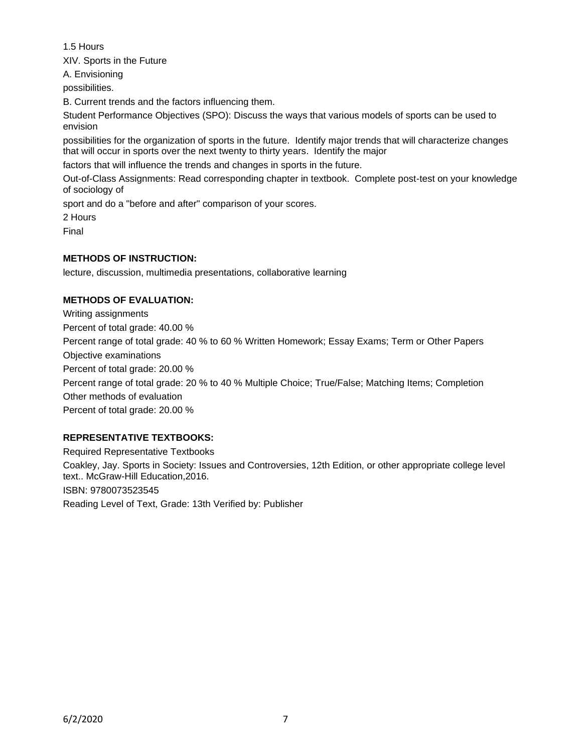1.5 Hours

XIV. Sports in the Future

A. Envisioning

possibilities.

B. Current trends and the factors influencing them.

Student Performance Objectives (SPO): Discuss the ways that various models of sports can be used to envision

possibilities for the organization of sports in the future. Identify major trends that will characterize changes that will occur in sports over the next twenty to thirty years. Identify the major

factors that will influence the trends and changes in sports in the future.

Out-of-Class Assignments: Read corresponding chapter in textbook. Complete post-test on your knowledge of sociology of

sport and do a "before and after" comparison of your scores.

2 Hours

Final

## **METHODS OF INSTRUCTION:**

lecture, discussion, multimedia presentations, collaborative learning

### **METHODS OF EVALUATION:**

Writing assignments Percent of total grade: 40.00 % Percent range of total grade: 40 % to 60 % Written Homework; Essay Exams; Term or Other Papers Objective examinations Percent of total grade: 20.00 % Percent range of total grade: 20 % to 40 % Multiple Choice; True/False; Matching Items; Completion Other methods of evaluation Percent of total grade: 20.00 %

## **REPRESENTATIVE TEXTBOOKS:**

Required Representative Textbooks Coakley, Jay. Sports in Society: Issues and Controversies, 12th Edition, or other appropriate college level text.. McGraw-Hill Education,2016. ISBN: 9780073523545 Reading Level of Text, Grade: 13th Verified by: Publisher